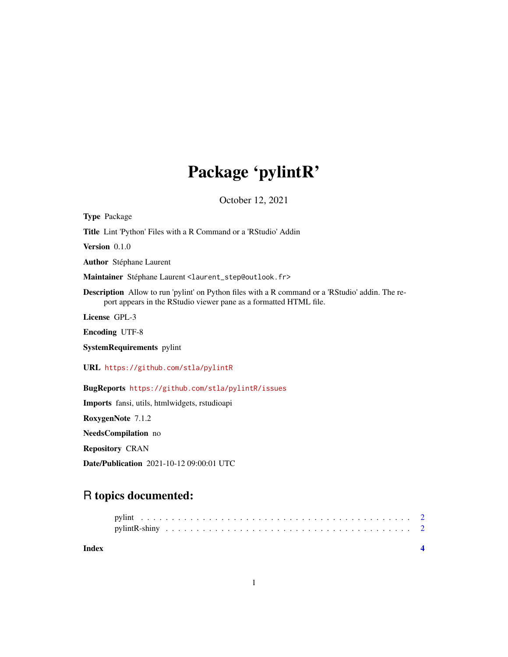## Package 'pylintR'

October 12, 2021

Type Package Title Lint 'Python' Files with a R Command or a 'RStudio' Addin Version 0.1.0 Author Stéphane Laurent Maintainer Stéphane Laurent <laurent\_step@outlook.fr> Description Allow to run 'pylint' on Python files with a R command or a 'RStudio' addin. The report appears in the RStudio viewer pane as a formatted HTML file. License GPL-3 Encoding UTF-8 SystemRequirements pylint URL <https://github.com/stla/pylintR> BugReports <https://github.com/stla/pylintR/issues> Imports fansi, utils, htmlwidgets, rstudioapi RoxygenNote 7.1.2 NeedsCompilation no

Repository CRAN

Date/Publication 2021-10-12 09:00:01 UTC

### R topics documented:

| Index |  |  |  |  |  |  |  |  |  |  |  |  |  |  |  |  |  |  |
|-------|--|--|--|--|--|--|--|--|--|--|--|--|--|--|--|--|--|--|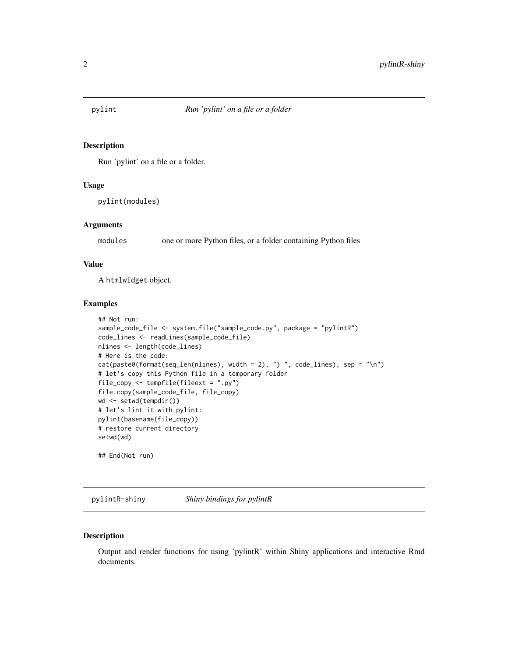<span id="page-1-1"></span><span id="page-1-0"></span>

#### Description

Run 'pylint' on a file or a folder.

#### Usage

pylint(modules)

#### Arguments

modules one or more Python files, or a folder containing Python files

#### Value

A htmlwidget object.

#### Examples

```
## Not run:
sample_code_file <- system.file("sample_code.py", package = "pylintR")
code_lines <- readLines(sample_code_file)
nlines <- length(code_lines)
# Here is the code:
cat(paste0(format(seq_len(nlines), width = 2), ") ", code_lines), sep = "\n")
# let's copy this Python file in a temporary folder
file_copy <- tempfile(fileext = ".py")
file.copy(sample_code_file, file_copy)
wd <- setwd(tempdir())
# let's lint it with pylint:
pylint(basename(file_copy))
# restore current directory
setwd(wd)
## End(Not run)
```
pylintR-shiny *Shiny bindings for pylintR*

#### Description

Output and render functions for using 'pylintR' within Shiny applications and interactive Rmd documents.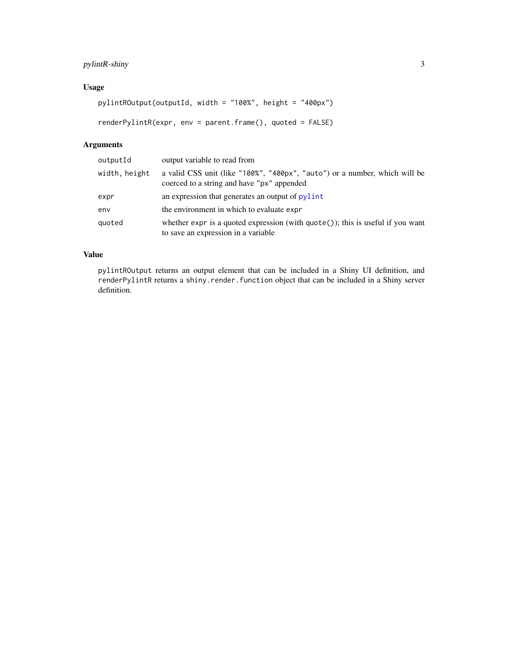#### <span id="page-2-0"></span>pylintR-shiny 3

#### Usage

```
pylintROutput(outputId, width = "100%", height = "400px")
```

```
renderPylintR(expr, env = parent.frame(), quoted = FALSE)
```
#### Arguments

| outputId      | output variable to read from                                                                                                |
|---------------|-----------------------------------------------------------------------------------------------------------------------------|
| width, height | a valid CSS unit (like "100%", "400px", "auto") or a number, which will be<br>coerced to a string and have "px" appended    |
| expr          | an expression that generates an output of pylint                                                                            |
| env           | the environment in which to evaluate expr                                                                                   |
| quoted        | whether expr is a quoted expression (with $\eta$ uote()); this is useful if you want<br>to save an expression in a variable |

#### Value

pylintROutput returns an output element that can be included in a Shiny UI definition, and renderPylintR returns a shiny.render.function object that can be included in a Shiny server definition.